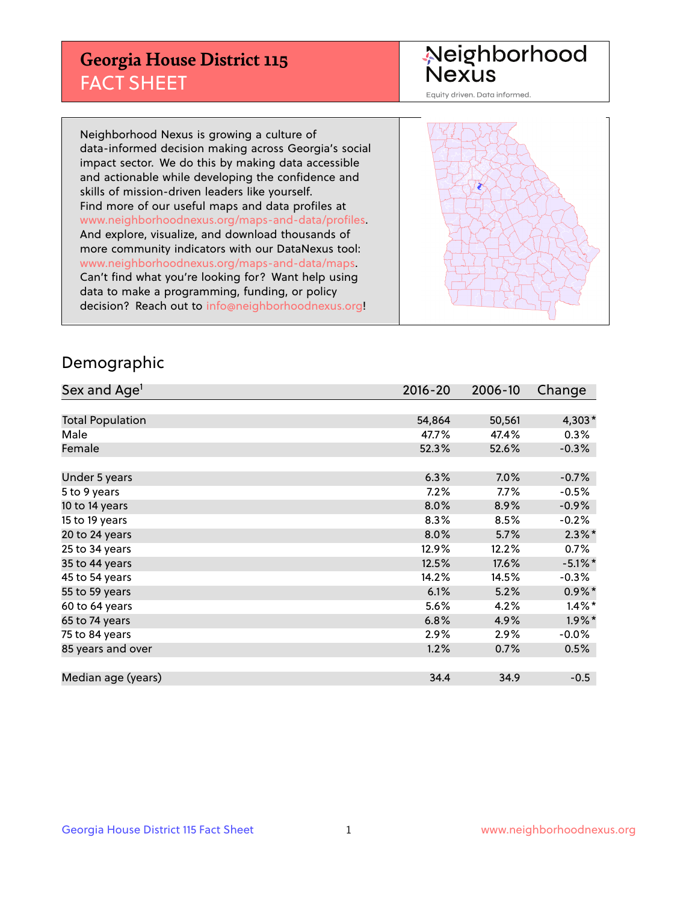## **Georgia House District 115** FACT SHEET

# Neighborhood<br>Nexus

Equity driven. Data informed.

Neighborhood Nexus is growing a culture of data-informed decision making across Georgia's social impact sector. We do this by making data accessible and actionable while developing the confidence and skills of mission-driven leaders like yourself. Find more of our useful maps and data profiles at www.neighborhoodnexus.org/maps-and-data/profiles. And explore, visualize, and download thousands of more community indicators with our DataNexus tool: www.neighborhoodnexus.org/maps-and-data/maps. Can't find what you're looking for? Want help using data to make a programming, funding, or policy decision? Reach out to [info@neighborhoodnexus.org!](mailto:info@neighborhoodnexus.org)



### Demographic

| Sex and Age <sup>1</sup> | $2016 - 20$ | 2006-10 | Change     |
|--------------------------|-------------|---------|------------|
|                          |             |         |            |
| <b>Total Population</b>  | 54,864      | 50,561  | 4,303*     |
| Male                     | 47.7%       | 47.4%   | 0.3%       |
| Female                   | 52.3%       | 52.6%   | $-0.3%$    |
|                          |             |         |            |
| Under 5 years            | 6.3%        | 7.0%    | $-0.7%$    |
| 5 to 9 years             | 7.2%        | 7.7%    | $-0.5\%$   |
| 10 to 14 years           | 8.0%        | 8.9%    | $-0.9\%$   |
| 15 to 19 years           | 8.3%        | 8.5%    | $-0.2%$    |
| 20 to 24 years           | 8.0%        | 5.7%    | $2.3\%$ *  |
| 25 to 34 years           | 12.9%       | 12.2%   | 0.7%       |
| 35 to 44 years           | 12.5%       | 17.6%   | $-5.1\%$ * |
| 45 to 54 years           | 14.2%       | 14.5%   | $-0.3%$    |
| 55 to 59 years           | 6.1%        | 5.2%    | $0.9\%$ *  |
| 60 to 64 years           | 5.6%        | 4.2%    | $1.4\%$ *  |
| 65 to 74 years           | 6.8%        | 4.9%    | $1.9\%$ *  |
| 75 to 84 years           | 2.9%        | 2.9%    | $-0.0\%$   |
| 85 years and over        | 1.2%        | 0.7%    | 0.5%       |
|                          |             |         |            |
| Median age (years)       | 34.4        | 34.9    | $-0.5$     |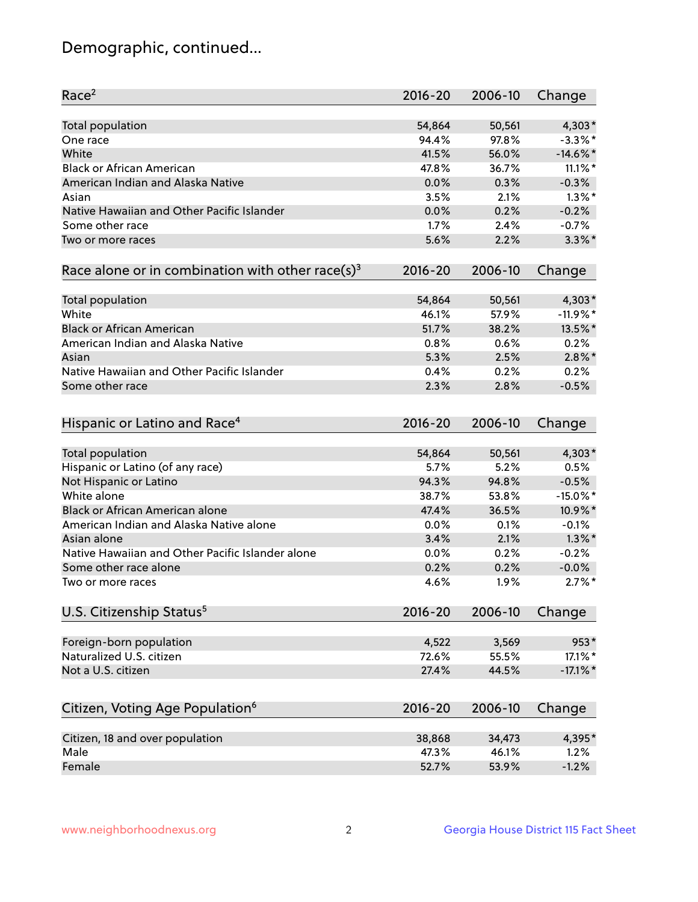## Demographic, continued...

| Race <sup>2</sup>                                            | $2016 - 20$ | 2006-10 | Change      |
|--------------------------------------------------------------|-------------|---------|-------------|
| <b>Total population</b>                                      | 54,864      | 50,561  | $4,303*$    |
| One race                                                     | 94.4%       | 97.8%   | $-3.3\%$ *  |
| White                                                        | 41.5%       | 56.0%   | $-14.6\%$ * |
| <b>Black or African American</b>                             | 47.8%       | 36.7%   | $11.1\%$ *  |
| American Indian and Alaska Native                            | 0.0%        | 0.3%    | $-0.3%$     |
| Asian                                                        | 3.5%        | 2.1%    | $1.3\%$ *   |
| Native Hawaiian and Other Pacific Islander                   | 0.0%        | 0.2%    | $-0.2%$     |
| Some other race                                              | 1.7%        | 2.4%    | $-0.7%$     |
| Two or more races                                            | 5.6%        | 2.2%    | $3.3\%$ *   |
| Race alone or in combination with other race(s) <sup>3</sup> | $2016 - 20$ | 2006-10 | Change      |
| Total population                                             | 54,864      | 50,561  | $4,303*$    |
| White                                                        | 46.1%       | 57.9%   | $-11.9%$ *  |
| <b>Black or African American</b>                             | 51.7%       | 38.2%   | 13.5%*      |
| American Indian and Alaska Native                            | 0.8%        | 0.6%    | 0.2%        |
| Asian                                                        | 5.3%        | 2.5%    | $2.8\%$ *   |
| Native Hawaiian and Other Pacific Islander                   |             |         |             |
|                                                              | 0.4%        | 0.2%    | 0.2%        |
| Some other race                                              | 2.3%        | 2.8%    | $-0.5%$     |
| Hispanic or Latino and Race <sup>4</sup>                     | $2016 - 20$ | 2006-10 | Change      |
| Total population                                             | 54,864      | 50,561  | 4,303*      |
| Hispanic or Latino (of any race)                             | 5.7%        | 5.2%    | 0.5%        |
| Not Hispanic or Latino                                       | 94.3%       | 94.8%   | $-0.5%$     |
| White alone                                                  | 38.7%       | 53.8%   | $-15.0\%$ * |
| Black or African American alone                              | 47.4%       | 36.5%   | 10.9%*      |
| American Indian and Alaska Native alone                      | 0.0%        | 0.1%    | $-0.1%$     |
| Asian alone                                                  | 3.4%        | 2.1%    | $1.3\%$ *   |
| Native Hawaiian and Other Pacific Islander alone             | $0.0\%$     | 0.2%    | $-0.2%$     |
| Some other race alone                                        | 0.2%        | 0.2%    | $-0.0%$     |
| Two or more races                                            | 4.6%        | 1.9%    | $2.7\%$ *   |
|                                                              |             |         |             |
| U.S. Citizenship Status <sup>5</sup>                         | $2016 - 20$ | 2006-10 | Change      |
| Foreign-born population                                      | 4,522       | 3,569   | 953*        |
| Naturalized U.S. citizen                                     | 72.6%       | 55.5%   | 17.1%*      |
| Not a U.S. citizen                                           | 27.4%       | 44.5%   | $-17.1\%$ * |
| Citizen, Voting Age Population <sup>6</sup>                  | $2016 - 20$ | 2006-10 | Change      |
| Citizen, 18 and over population                              | 38,868      | 34,473  | 4,395*      |
| Male                                                         | 47.3%       | 46.1%   | 1.2%        |
| Female                                                       | 52.7%       | 53.9%   | $-1.2%$     |
|                                                              |             |         |             |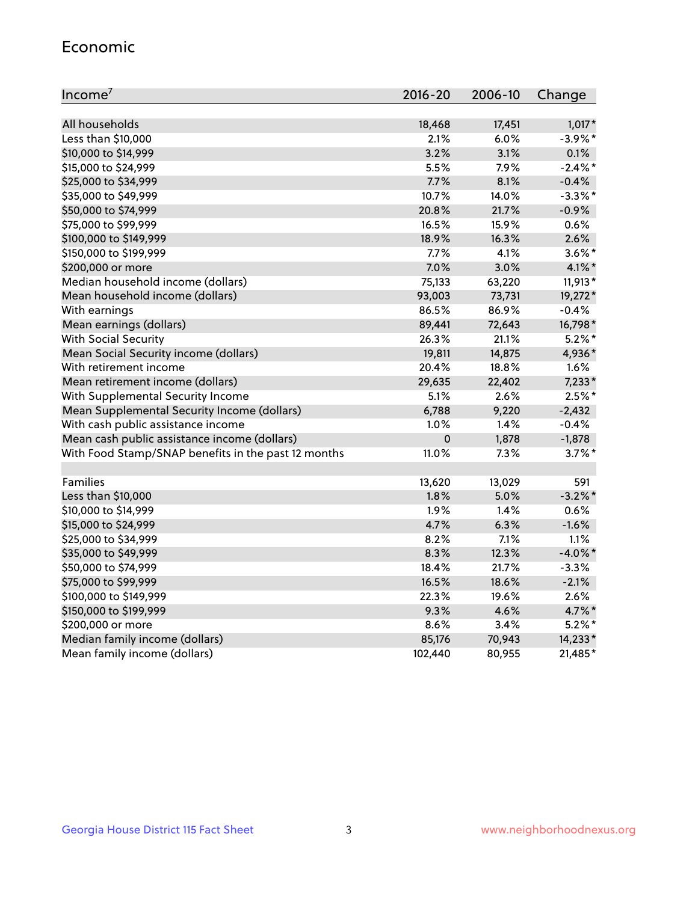#### Economic

| Income <sup>7</sup>                                 | $2016 - 20$ | 2006-10 | Change     |
|-----------------------------------------------------|-------------|---------|------------|
|                                                     |             |         |            |
| All households                                      | 18,468      | 17,451  | $1,017*$   |
| Less than \$10,000                                  | 2.1%        | 6.0%    | $-3.9\%$ * |
| \$10,000 to \$14,999                                | 3.2%        | 3.1%    | 0.1%       |
| \$15,000 to \$24,999                                | 5.5%        | 7.9%    | $-2.4\%$ * |
| \$25,000 to \$34,999                                | 7.7%        | 8.1%    | $-0.4%$    |
| \$35,000 to \$49,999                                | 10.7%       | 14.0%   | $-3.3\%$ * |
| \$50,000 to \$74,999                                | 20.8%       | 21.7%   | $-0.9%$    |
| \$75,000 to \$99,999                                | 16.5%       | 15.9%   | 0.6%       |
| \$100,000 to \$149,999                              | 18.9%       | 16.3%   | 2.6%       |
| \$150,000 to \$199,999                              | 7.7%        | 4.1%    | $3.6\%$ *  |
| \$200,000 or more                                   | 7.0%        | 3.0%    | $4.1\%$ *  |
| Median household income (dollars)                   | 75,133      | 63,220  | 11,913*    |
| Mean household income (dollars)                     | 93,003      | 73,731  | 19,272*    |
| With earnings                                       | 86.5%       | 86.9%   | $-0.4%$    |
| Mean earnings (dollars)                             | 89,441      | 72,643  | 16,798*    |
| <b>With Social Security</b>                         | 26.3%       | 21.1%   | $5.2\%$ *  |
| Mean Social Security income (dollars)               | 19,811      | 14,875  | 4,936*     |
| With retirement income                              | 20.4%       | 18.8%   | 1.6%       |
| Mean retirement income (dollars)                    | 29,635      | 22,402  | $7,233*$   |
| With Supplemental Security Income                   | 5.1%        | 2.6%    | $2.5\%$ *  |
| Mean Supplemental Security Income (dollars)         | 6,788       | 9,220   | $-2,432$   |
| With cash public assistance income                  | 1.0%        | 1.4%    | $-0.4%$    |
| Mean cash public assistance income (dollars)        | $\mathbf 0$ | 1,878   | $-1,878$   |
| With Food Stamp/SNAP benefits in the past 12 months | 11.0%       | 7.3%    | $3.7\%$ *  |
|                                                     |             |         |            |
| Families                                            | 13,620      | 13,029  | 591        |
| Less than \$10,000                                  | 1.8%        | 5.0%    | $-3.2%$ *  |
| \$10,000 to \$14,999                                | 1.9%        | 1.4%    | 0.6%       |
| \$15,000 to \$24,999                                | 4.7%        | 6.3%    | $-1.6%$    |
| \$25,000 to \$34,999                                | 8.2%        | 7.1%    | 1.1%       |
| \$35,000 to \$49,999                                | 8.3%        | 12.3%   | $-4.0\%$ * |
| \$50,000 to \$74,999                                | 18.4%       | 21.7%   | $-3.3%$    |
| \$75,000 to \$99,999                                | 16.5%       | 18.6%   | $-2.1%$    |
| \$100,000 to \$149,999                              | 22.3%       | 19.6%   | 2.6%       |
| \$150,000 to \$199,999                              | 9.3%        | 4.6%    | 4.7%*      |
| \$200,000 or more                                   | 8.6%        | 3.4%    | $5.2\%$ *  |
| Median family income (dollars)                      | 85,176      | 70,943  | 14,233*    |
| Mean family income (dollars)                        | 102,440     | 80,955  | 21,485*    |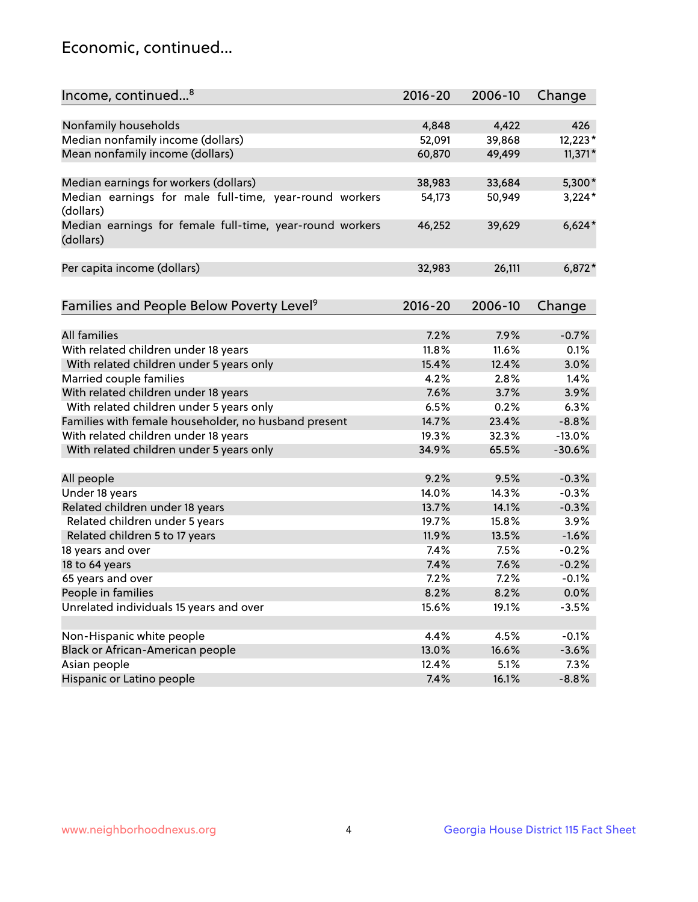## Economic, continued...

| Income, continued <sup>8</sup>                                        | $2016 - 20$ | 2006-10 | Change    |
|-----------------------------------------------------------------------|-------------|---------|-----------|
|                                                                       |             |         |           |
| Nonfamily households                                                  | 4,848       | 4,422   | 426       |
| Median nonfamily income (dollars)                                     | 52,091      | 39,868  | 12,223*   |
| Mean nonfamily income (dollars)                                       | 60,870      | 49,499  | $11,371*$ |
| Median earnings for workers (dollars)                                 | 38,983      | 33,684  | 5,300*    |
| Median earnings for male full-time, year-round workers                | 54,173      | 50,949  | $3,224*$  |
| (dollars)                                                             |             |         |           |
| Median earnings for female full-time, year-round workers<br>(dollars) | 46,252      | 39,629  | $6,624*$  |
| Per capita income (dollars)                                           | 32,983      | 26,111  | $6,872*$  |
|                                                                       |             |         |           |
| Families and People Below Poverty Level <sup>9</sup>                  | 2016-20     | 2006-10 | Change    |
|                                                                       |             |         |           |
| <b>All families</b>                                                   | 7.2%        | 7.9%    | $-0.7%$   |
| With related children under 18 years                                  | 11.8%       | 11.6%   | 0.1%      |
| With related children under 5 years only                              | 15.4%       | 12.4%   | 3.0%      |
| Married couple families                                               | 4.2%        | 2.8%    | 1.4%      |
| With related children under 18 years                                  | 7.6%        | 3.7%    | 3.9%      |
| With related children under 5 years only                              | 6.5%        | 0.2%    | 6.3%      |
| Families with female householder, no husband present                  | 14.7%       | 23.4%   | $-8.8%$   |
| With related children under 18 years                                  | 19.3%       | 32.3%   | $-13.0%$  |
| With related children under 5 years only                              | 34.9%       | 65.5%   | $-30.6%$  |
| All people                                                            | 9.2%        | 9.5%    | $-0.3%$   |
| Under 18 years                                                        | 14.0%       | 14.3%   | $-0.3%$   |
| Related children under 18 years                                       | 13.7%       | 14.1%   | $-0.3%$   |
| Related children under 5 years                                        | 19.7%       | 15.8%   | 3.9%      |
| Related children 5 to 17 years                                        | 11.9%       | 13.5%   | $-1.6%$   |
| 18 years and over                                                     | 7.4%        | 7.5%    | $-0.2%$   |
| 18 to 64 years                                                        | 7.4%        | 7.6%    | $-0.2%$   |
| 65 years and over                                                     | 7.2%        | 7.2%    | $-0.1%$   |
| People in families                                                    | 8.2%        | 8.2%    | 0.0%      |
| Unrelated individuals 15 years and over                               | 15.6%       | 19.1%   | $-3.5%$   |
|                                                                       |             |         |           |
| Non-Hispanic white people                                             | 4.4%        | 4.5%    | $-0.1%$   |
| Black or African-American people                                      | 13.0%       | 16.6%   | $-3.6%$   |
| Asian people                                                          | 12.4%       | 5.1%    | 7.3%      |
| Hispanic or Latino people                                             | 7.4%        | 16.1%   | $-8.8%$   |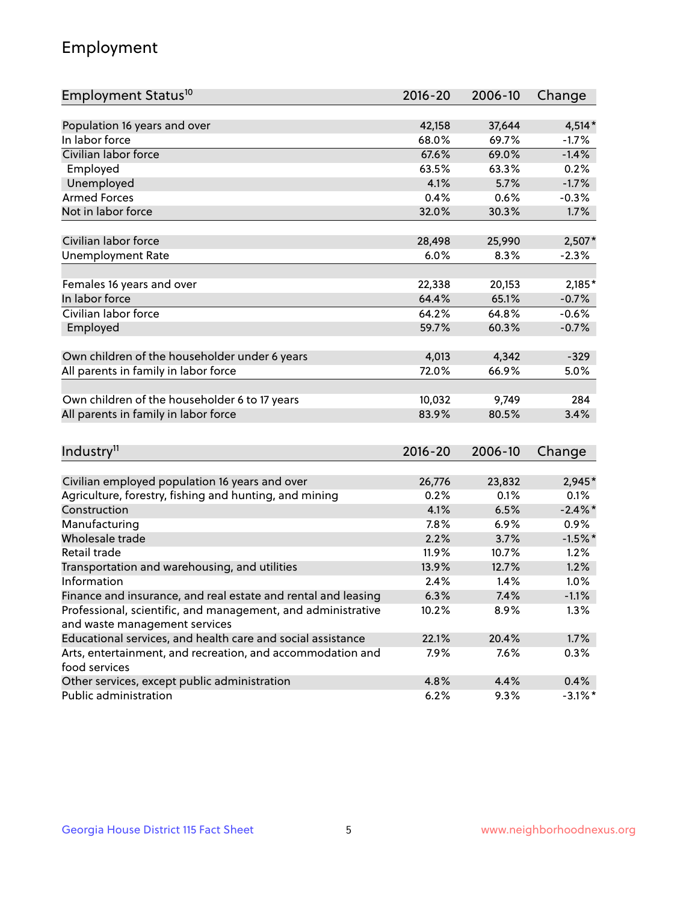## Employment

| Employment Status <sup>10</sup>                                             | $2016 - 20$ | 2006-10 | Change     |
|-----------------------------------------------------------------------------|-------------|---------|------------|
|                                                                             |             |         |            |
| Population 16 years and over                                                | 42,158      | 37,644  | $4,514*$   |
| In labor force                                                              | 68.0%       | 69.7%   | $-1.7%$    |
| Civilian labor force                                                        | 67.6%       | 69.0%   | $-1.4%$    |
| Employed                                                                    | 63.5%       | 63.3%   | 0.2%       |
| Unemployed                                                                  | 4.1%        | 5.7%    | $-1.7%$    |
| <b>Armed Forces</b>                                                         | 0.4%        | 0.6%    | $-0.3%$    |
| Not in labor force                                                          | 32.0%       | 30.3%   | 1.7%       |
|                                                                             |             |         |            |
| Civilian labor force                                                        | 28,498      | 25,990  | $2,507*$   |
| <b>Unemployment Rate</b>                                                    | 6.0%        | 8.3%    | $-2.3%$    |
| Females 16 years and over                                                   | 22,338      | 20,153  | 2,185*     |
| In labor force                                                              | 64.4%       | 65.1%   | $-0.7%$    |
| Civilian labor force                                                        | 64.2%       | 64.8%   | $-0.6%$    |
| Employed                                                                    | 59.7%       | 60.3%   | $-0.7%$    |
|                                                                             |             |         |            |
| Own children of the householder under 6 years                               | 4,013       | 4,342   | $-329$     |
| All parents in family in labor force                                        | 72.0%       | 66.9%   | 5.0%       |
|                                                                             |             |         |            |
| Own children of the householder 6 to 17 years                               | 10,032      | 9,749   | 284        |
| All parents in family in labor force                                        | 83.9%       | 80.5%   | 3.4%       |
|                                                                             |             |         |            |
| Industry <sup>11</sup>                                                      | $2016 - 20$ | 2006-10 | Change     |
|                                                                             |             |         |            |
| Civilian employed population 16 years and over                              | 26,776      | 23,832  | 2,945*     |
| Agriculture, forestry, fishing and hunting, and mining                      | 0.2%        | 0.1%    | 0.1%       |
| Construction                                                                | 4.1%        | 6.5%    | $-2.4\%$ * |
| Manufacturing                                                               | 7.8%        | 6.9%    | 0.9%       |
| Wholesale trade                                                             | 2.2%        | 3.7%    | $-1.5%$ *  |
| Retail trade                                                                | 11.9%       | 10.7%   | 1.2%       |
| Transportation and warehousing, and utilities                               | 13.9%       | 12.7%   | 1.2%       |
| Information                                                                 | 2.4%        | 1.4%    | 1.0%       |
| Finance and insurance, and real estate and rental and leasing               | 6.3%        | 7.4%    | $-1.1%$    |
| Professional, scientific, and management, and administrative                | 10.2%       | 8.9%    | 1.3%       |
| and waste management services                                               |             |         |            |
| Educational services, and health care and social assistance                 | 22.1%       | 20.4%   | 1.7%       |
| Arts, entertainment, and recreation, and accommodation and<br>food services | 7.9%        | 7.6%    | 0.3%       |
| Other services, except public administration                                | 4.8%        | 4.4%    | 0.4%       |
| Public administration                                                       | 6.2%        | 9.3%    | $-3.1\%$ * |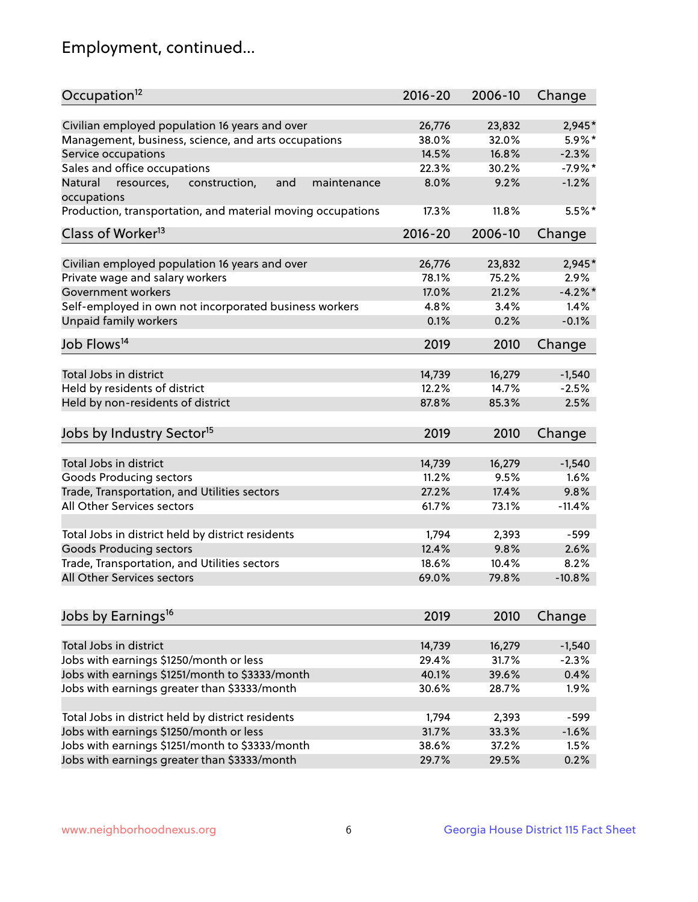## Employment, continued...

| Occupation <sup>12</sup>                                     | $2016 - 20$ | 2006-10 | Change    |
|--------------------------------------------------------------|-------------|---------|-----------|
| Civilian employed population 16 years and over               | 26,776      | 23,832  | 2,945*    |
| Management, business, science, and arts occupations          | 38.0%       | 32.0%   | 5.9%*     |
| Service occupations                                          | 14.5%       | 16.8%   | $-2.3%$   |
| Sales and office occupations                                 | 22.3%       | 30.2%   | $-7.9%$ * |
| resources,<br>and<br>Natural<br>construction,<br>maintenance | 8.0%        | 9.2%    | $-1.2%$   |
| occupations                                                  |             |         |           |
| Production, transportation, and material moving occupations  | 17.3%       | 11.8%   | $5.5%$ *  |
| Class of Worker <sup>13</sup>                                | $2016 - 20$ | 2006-10 | Change    |
|                                                              |             |         |           |
| Civilian employed population 16 years and over               | 26,776      | 23,832  | 2,945*    |
| Private wage and salary workers                              | 78.1%       | 75.2%   | 2.9%      |
| Government workers                                           | 17.0%       | 21.2%   | $-4.2%$   |
| Self-employed in own not incorporated business workers       | 4.8%        | 3.4%    | 1.4%      |
| Unpaid family workers                                        | 0.1%        | 0.2%    | $-0.1%$   |
| Job Flows <sup>14</sup>                                      | 2019        | 2010    | Change    |
|                                                              |             |         |           |
| Total Jobs in district                                       | 14,739      | 16,279  | $-1,540$  |
| Held by residents of district                                | 12.2%       | 14.7%   | $-2.5%$   |
| Held by non-residents of district                            | 87.8%       | 85.3%   | 2.5%      |
| Jobs by Industry Sector <sup>15</sup>                        | 2019        | 2010    | Change    |
| Total Jobs in district                                       | 14,739      | 16,279  | $-1,540$  |
| Goods Producing sectors                                      | 11.2%       | 9.5%    | 1.6%      |
|                                                              | 27.2%       | 17.4%   | 9.8%      |
| Trade, Transportation, and Utilities sectors                 |             |         |           |
| All Other Services sectors                                   | 61.7%       | 73.1%   | $-11.4%$  |
| Total Jobs in district held by district residents            | 1,794       | 2,393   | $-599$    |
| <b>Goods Producing sectors</b>                               | 12.4%       | 9.8%    | 2.6%      |
| Trade, Transportation, and Utilities sectors                 | 18.6%       | 10.4%   | 8.2%      |
| All Other Services sectors                                   | 69.0%       | 79.8%   | $-10.8%$  |
|                                                              |             |         |           |
| Jobs by Earnings <sup>16</sup>                               | 2019        | 2010    | Change    |
| Total Jobs in district                                       | 14,739      | 16,279  | $-1,540$  |
|                                                              | 29.4%       | 31.7%   | $-2.3%$   |
| Jobs with earnings \$1250/month or less                      |             |         |           |
| Jobs with earnings \$1251/month to \$3333/month              | 40.1%       | 39.6%   | 0.4%      |
| Jobs with earnings greater than \$3333/month                 | 30.6%       | 28.7%   | 1.9%      |
| Total Jobs in district held by district residents            | 1,794       | 2,393   | $-599$    |
| Jobs with earnings \$1250/month or less                      | 31.7%       | 33.3%   | $-1.6%$   |
| Jobs with earnings \$1251/month to \$3333/month              | 38.6%       | 37.2%   | 1.5%      |
| Jobs with earnings greater than \$3333/month                 | 29.7%       | 29.5%   | 0.2%      |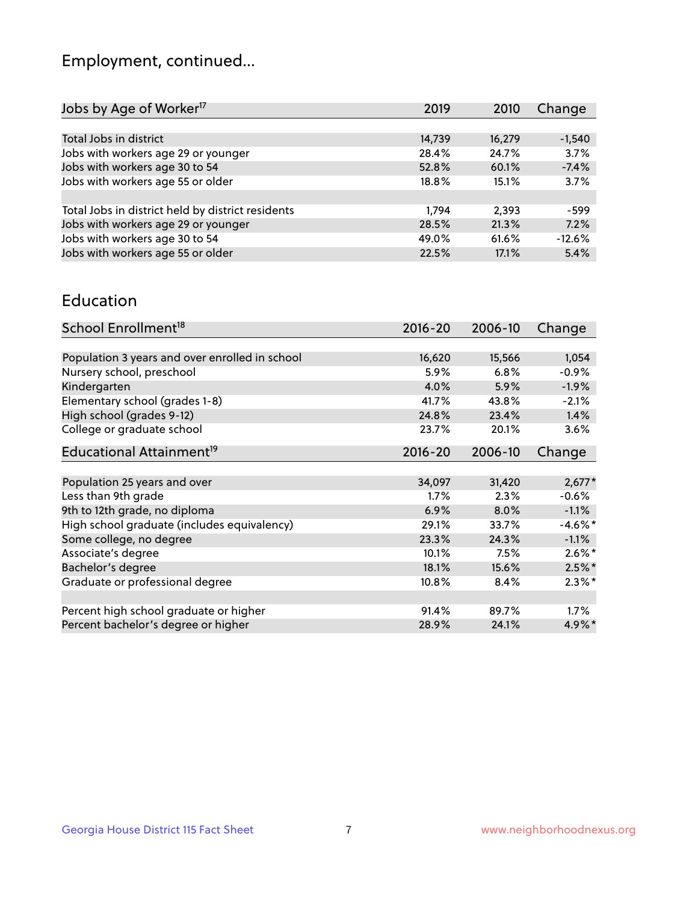## Employment, continued...

| Jobs by Age of Worker <sup>17</sup>               | 2019   | 2010   | Change   |
|---------------------------------------------------|--------|--------|----------|
|                                                   |        |        |          |
| Total Jobs in district                            | 14,739 | 16,279 | $-1,540$ |
| Jobs with workers age 29 or younger               | 28.4%  | 24.7%  | 3.7%     |
| Jobs with workers age 30 to 54                    | 52.8%  | 60.1%  | $-7.4%$  |
| Jobs with workers age 55 or older                 | 18.8%  | 15.1%  | 3.7%     |
|                                                   |        |        |          |
| Total Jobs in district held by district residents | 1.794  | 2,393  | $-599$   |
| Jobs with workers age 29 or younger               | 28.5%  | 21.3%  | 7.2%     |
| Jobs with workers age 30 to 54                    | 49.0%  | 61.6%  | $-12.6%$ |
| Jobs with workers age 55 or older                 | 22.5%  | 17.1%  | 5.4%     |
|                                                   |        |        |          |

#### Education

| School Enrollment <sup>18</sup>                | $2016 - 20$ | 2006-10 | Change     |
|------------------------------------------------|-------------|---------|------------|
|                                                |             |         |            |
| Population 3 years and over enrolled in school | 16,620      | 15,566  | 1,054      |
| Nursery school, preschool                      | 5.9%        | 6.8%    | $-0.9%$    |
| Kindergarten                                   | 4.0%        | 5.9%    | $-1.9%$    |
| Elementary school (grades 1-8)                 | 41.7%       | 43.8%   | $-2.1%$    |
| High school (grades 9-12)                      | 24.8%       | 23.4%   | 1.4%       |
| College or graduate school                     | 23.7%       | 20.1%   | 3.6%       |
| Educational Attainment <sup>19</sup>           | $2016 - 20$ | 2006-10 | Change     |
|                                                |             |         |            |
| Population 25 years and over                   | 34,097      | 31,420  | $2,677*$   |
| Less than 9th grade                            | $1.7\%$     | 2.3%    | $-0.6%$    |
| 9th to 12th grade, no diploma                  | 6.9%        | 8.0%    | $-1.1%$    |
| High school graduate (includes equivalency)    | 29.1%       | 33.7%   | $-4.6\%$ * |
| Some college, no degree                        | 23.3%       | 24.3%   | $-1.1%$    |
| Associate's degree                             | 10.1%       | 7.5%    | $2.6\%$ *  |
| Bachelor's degree                              | 18.1%       | 15.6%   | $2.5%$ *   |
| Graduate or professional degree                | 10.8%       | 8.4%    | $2.3\%$ *  |
|                                                |             |         |            |
| Percent high school graduate or higher         | 91.4%       | 89.7%   | $1.7\%$    |
| Percent bachelor's degree or higher            | 28.9%       | 24.1%   | $4.9\%$ *  |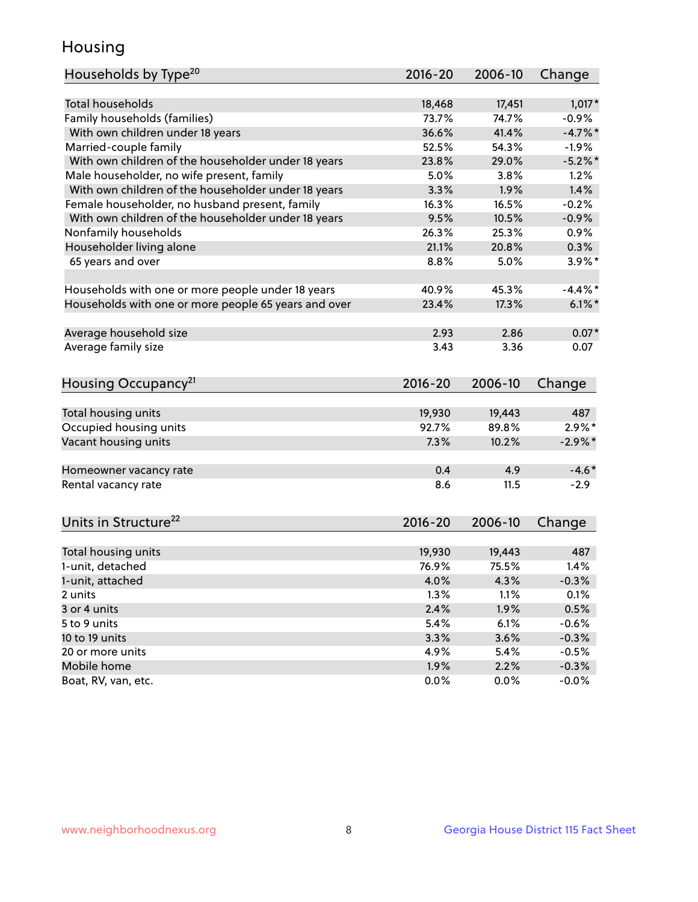## Housing

| Households by Type <sup>20</sup>                     | 2016-20         | 2006-10         | Change     |
|------------------------------------------------------|-----------------|-----------------|------------|
|                                                      |                 |                 |            |
| <b>Total households</b>                              | 18,468          | 17,451          | $1,017*$   |
| Family households (families)                         | 73.7%           | 74.7%           | $-0.9%$    |
| With own children under 18 years                     | 36.6%           | 41.4%           | $-4.7\%$ * |
| Married-couple family                                | 52.5%           | 54.3%           | $-1.9%$    |
| With own children of the householder under 18 years  | 23.8%           | 29.0%           | $-5.2\%$ * |
| Male householder, no wife present, family            | 5.0%            | 3.8%            | 1.2%       |
| With own children of the householder under 18 years  | 3.3%            | 1.9%            | 1.4%       |
| Female householder, no husband present, family       | 16.3%           | 16.5%           | $-0.2%$    |
| With own children of the householder under 18 years  | 9.5%            | 10.5%           | $-0.9%$    |
| Nonfamily households                                 | 26.3%           | 25.3%           | $0.9\%$    |
| Householder living alone                             | 21.1%           | 20.8%           | 0.3%       |
| 65 years and over                                    | 8.8%            | 5.0%            | $3.9\%$ *  |
| Households with one or more people under 18 years    | 40.9%           | 45.3%           | $-4.4\%$ * |
| Households with one or more people 65 years and over | 23.4%           | 17.3%           | $6.1\%$    |
| Average household size                               | 2.93            | 2.86            | $0.07*$    |
| Average family size                                  | 3.43            | 3.36            | 0.07       |
|                                                      |                 |                 |            |
| Housing Occupancy <sup>21</sup>                      | $2016 - 20$     | 2006-10         | Change     |
|                                                      |                 |                 | 487        |
| Total housing units                                  | 19,930<br>92.7% | 19,443<br>89.8% | $2.9\%$ *  |
| Occupied housing units                               |                 |                 |            |
| Vacant housing units                                 | 7.3%            | 10.2%           | $-2.9\%$ * |
| Homeowner vacancy rate                               | 0.4             | 4.9             | $-4.6*$    |
| Rental vacancy rate                                  | 8.6             | 11.5            | $-2.9$     |
|                                                      |                 |                 |            |
| Units in Structure <sup>22</sup>                     | 2016-20         | 2006-10         | Change     |
| Total housing units                                  | 19,930          | 19,443          | 487        |
| 1-unit, detached                                     | 76.9%           | 75.5%           | 1.4%       |
| 1-unit, attached                                     | 4.0%            | 4.3%            | $-0.3%$    |
| 2 units                                              | 1.3%            | 1.1%            | 0.1%       |
| 3 or 4 units                                         | 2.4%            | 1.9%            | 0.5%       |
| 5 to 9 units                                         | 5.4%            | 6.1%            | $-0.6%$    |
| 10 to 19 units                                       | 3.3%            | 3.6%            | $-0.3%$    |
| 20 or more units                                     | 4.9%            | 5.4%            | $-0.5%$    |
| Mobile home                                          | 1.9%            | 2.2%            | $-0.3%$    |
| Boat, RV, van, etc.                                  | 0.0%            | $0.0\%$         | $-0.0%$    |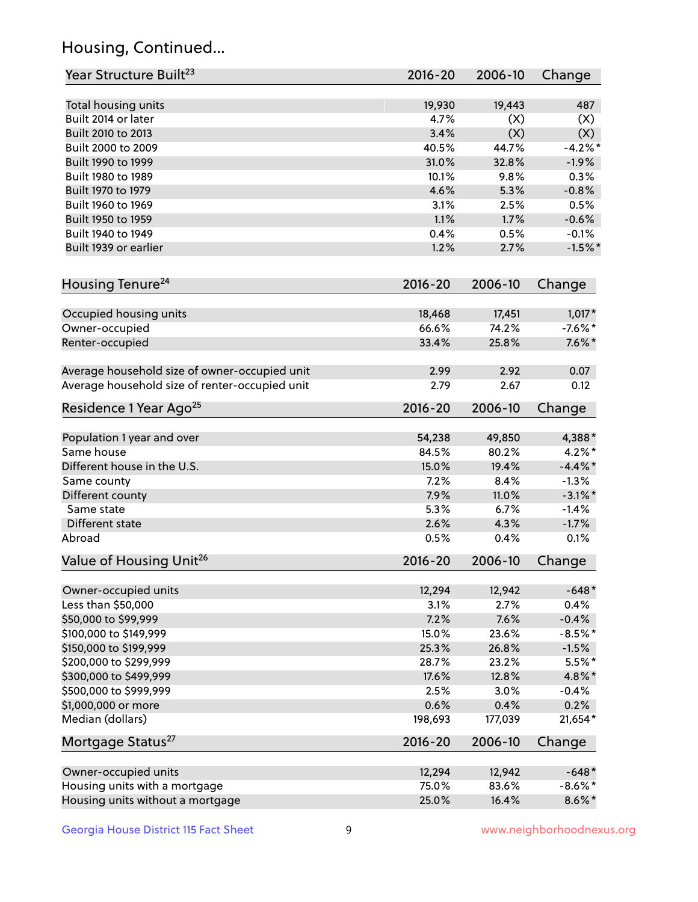## Housing, Continued...

| Year Structure Built <sup>23</sup>             | 2016-20     | 2006-10 | Change     |
|------------------------------------------------|-------------|---------|------------|
| Total housing units                            | 19,930      | 19,443  | 487        |
| Built 2014 or later                            | 4.7%        | (X)     | (X)        |
| Built 2010 to 2013                             | 3.4%        | (X)     | (X)        |
| Built 2000 to 2009                             | 40.5%       | 44.7%   | $-4.2%$    |
| Built 1990 to 1999                             | 31.0%       | 32.8%   | $-1.9%$    |
| Built 1980 to 1989                             | 10.1%       | 9.8%    | 0.3%       |
| Built 1970 to 1979                             | 4.6%        | 5.3%    | $-0.8%$    |
| Built 1960 to 1969                             | 3.1%        | 2.5%    | 0.5%       |
| Built 1950 to 1959                             | 1.1%        | 1.7%    | $-0.6%$    |
| Built 1940 to 1949                             | 0.4%        | 0.5%    | $-0.1%$    |
| Built 1939 or earlier                          | 1.2%        | 2.7%    | $-1.5%$ *  |
| Housing Tenure <sup>24</sup>                   | $2016 - 20$ | 2006-10 | Change     |
| Occupied housing units                         | 18,468      | 17,451  | $1,017*$   |
| Owner-occupied                                 | 66.6%       | 74.2%   | $-7.6\%$ * |
| Renter-occupied                                | 33.4%       | 25.8%   | $7.6\%$ *  |
| Average household size of owner-occupied unit  | 2.99        | 2.92    | 0.07       |
| Average household size of renter-occupied unit | 2.79        | 2.67    | 0.12       |
| Residence 1 Year Ago <sup>25</sup>             | 2016-20     | 2006-10 | Change     |
| Population 1 year and over                     | 54,238      | 49,850  | 4,388*     |
| Same house                                     | 84.5%       | 80.2%   | $4.2\%$ *  |
| Different house in the U.S.                    | 15.0%       | 19.4%   | $-4.4\%$ * |
| Same county                                    | 7.2%        | 8.4%    | $-1.3%$    |
| Different county                               | 7.9%        | 11.0%   | $-3.1\%$ * |
| Same state                                     | 5.3%        | 6.7%    | $-1.4%$    |
| Different state                                | 2.6%        | 4.3%    | $-1.7%$    |
| Abroad                                         | 0.5%        | 0.4%    | 0.1%       |
| Value of Housing Unit <sup>26</sup>            | $2016 - 20$ | 2006-10 | Change     |
| Owner-occupied units                           | 12,294      | 12,942  | $-648*$    |
| Less than \$50,000                             | 3.1%        | 2.7%    | 0.4%       |
| \$50,000 to \$99,999                           | 7.2%        | 7.6%    | $-0.4%$    |
| \$100,000 to \$149,999                         | 15.0%       | 23.6%   | $-8.5%$ *  |
| \$150,000 to \$199,999                         | 25.3%       | 26.8%   | $-1.5%$    |
| \$200,000 to \$299,999                         | 28.7%       | 23.2%   | $5.5\%$ *  |
| \$300,000 to \$499,999                         | 17.6%       | 12.8%   | 4.8%*      |
| \$500,000 to \$999,999                         | 2.5%        | 3.0%    | $-0.4%$    |
| \$1,000,000 or more                            | 0.6%        | 0.4%    | 0.2%       |
| Median (dollars)                               | 198,693     | 177,039 | $21,654*$  |
| Mortgage Status <sup>27</sup>                  | $2016 - 20$ | 2006-10 | Change     |
| Owner-occupied units                           | 12,294      | 12,942  | $-648*$    |
| Housing units with a mortgage                  | 75.0%       | 83.6%   | $-8.6\%$ * |
| Housing units without a mortgage               | 25.0%       | 16.4%   | $8.6\% *$  |
|                                                |             |         |            |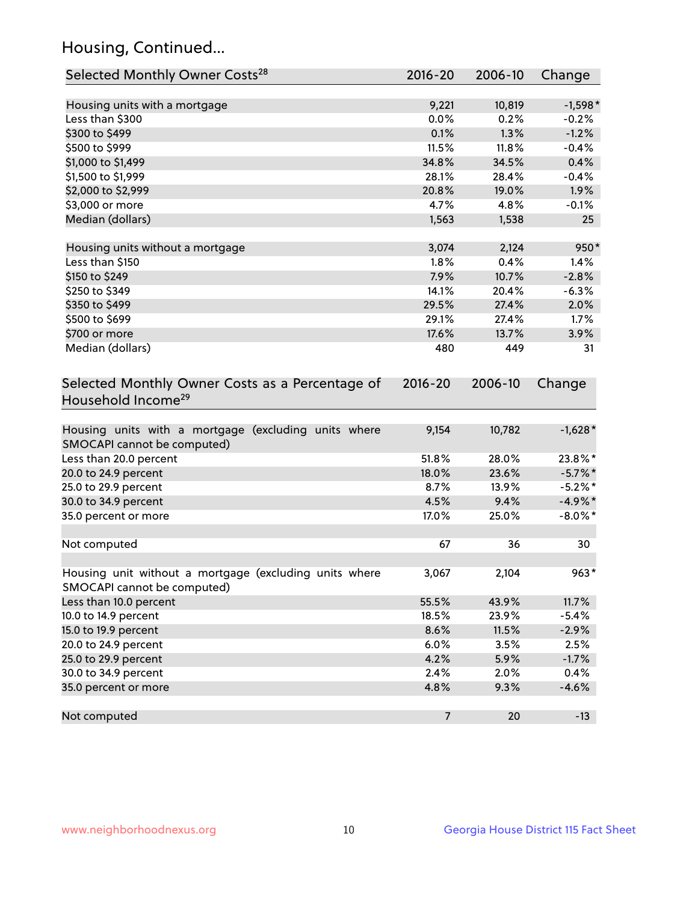## Housing, Continued...

| Selected Monthly Owner Costs <sup>28</sup>                                            | 2016-20        | 2006-10 | Change     |
|---------------------------------------------------------------------------------------|----------------|---------|------------|
| Housing units with a mortgage                                                         | 9,221          | 10,819  | $-1,598*$  |
| Less than \$300                                                                       | 0.0%           | 0.2%    | $-0.2%$    |
| \$300 to \$499                                                                        | 0.1%           | 1.3%    | $-1.2%$    |
| \$500 to \$999                                                                        | 11.5%          | 11.8%   | $-0.4%$    |
| \$1,000 to \$1,499                                                                    | 34.8%          | 34.5%   | 0.4%       |
| \$1,500 to \$1,999                                                                    | 28.1%          | 28.4%   | $-0.4%$    |
| \$2,000 to \$2,999                                                                    | 20.8%          | 19.0%   | 1.9%       |
| \$3,000 or more                                                                       | 4.7%           | 4.8%    | $-0.1%$    |
| Median (dollars)                                                                      | 1,563          | 1,538   | 25         |
|                                                                                       |                |         |            |
| Housing units without a mortgage                                                      | 3,074          | 2,124   | 950*       |
| Less than \$150                                                                       | 1.8%           | 0.4%    | 1.4%       |
| \$150 to \$249                                                                        | 7.9%           | 10.7%   | $-2.8%$    |
| \$250 to \$349                                                                        | 14.1%          | 20.4%   | $-6.3%$    |
| \$350 to \$499                                                                        | 29.5%          | 27.4%   | 2.0%       |
| \$500 to \$699                                                                        | 29.1%          | 27.4%   | 1.7%       |
| \$700 or more                                                                         | 17.6%          | 13.7%   | 3.9%       |
| Median (dollars)                                                                      | 480            | 449     | 31         |
| Selected Monthly Owner Costs as a Percentage of<br>Household Income <sup>29</sup>     | $2016 - 20$    | 2006-10 | Change     |
| Housing units with a mortgage (excluding units where<br>SMOCAPI cannot be computed)   | 9,154          | 10,782  | $-1,628*$  |
| Less than 20.0 percent                                                                | 51.8%          | 28.0%   | 23.8%*     |
| 20.0 to 24.9 percent                                                                  | 18.0%          | 23.6%   | $-5.7\%$ * |
| 25.0 to 29.9 percent                                                                  | 8.7%           | 13.9%   | $-5.2\%$ * |
| 30.0 to 34.9 percent                                                                  | 4.5%           | 9.4%    | $-4.9\%$ * |
| 35.0 percent or more                                                                  | 17.0%          | 25.0%   | $-8.0\%$ * |
| Not computed                                                                          | 67             | 36      | 30         |
| Housing unit without a mortgage (excluding units where<br>SMOCAPI cannot be computed) | 3,067          | 2,104   | $963*$     |
| Less than 10.0 percent                                                                | 55.5%          | 43.9%   | 11.7%      |
| 10.0 to 14.9 percent                                                                  | 18.5%          | 23.9%   | $-5.4%$    |
| 15.0 to 19.9 percent                                                                  | 8.6%           | 11.5%   | $-2.9%$    |
| 20.0 to 24.9 percent                                                                  | 6.0%           | 3.5%    | 2.5%       |
| 25.0 to 29.9 percent                                                                  | 4.2%           | 5.9%    | $-1.7%$    |
| 30.0 to 34.9 percent                                                                  | 2.4%           | 2.0%    | 0.4%       |
| 35.0 percent or more                                                                  | 4.8%           | 9.3%    | $-4.6%$    |
| Not computed                                                                          | $\overline{7}$ | 20      | $-13$      |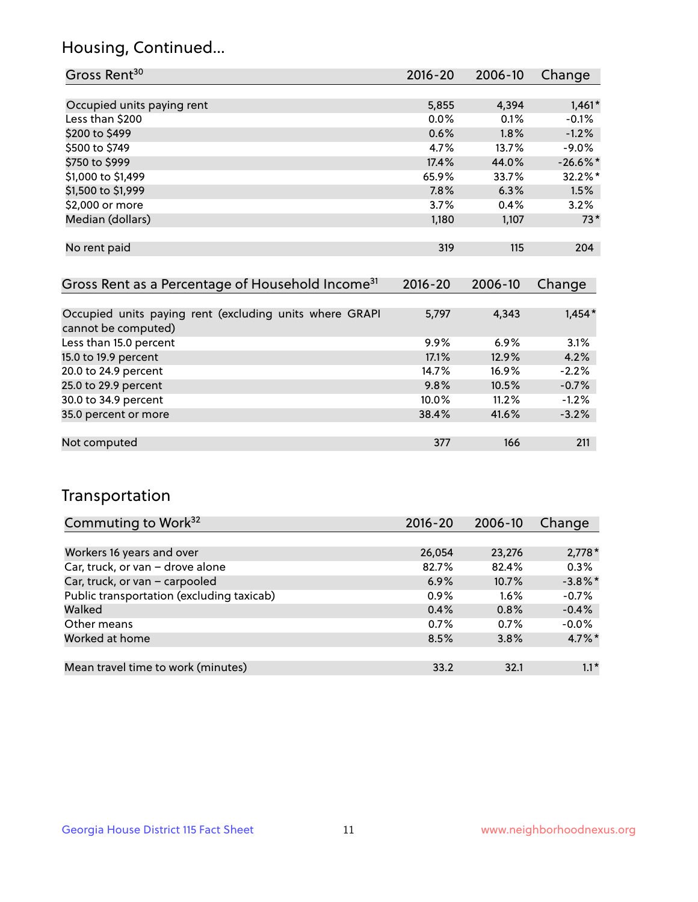## Housing, Continued...

| Gross Rent <sup>30</sup>                                     | 2016-20     | $2006 - 10$ | Change     |
|--------------------------------------------------------------|-------------|-------------|------------|
|                                                              |             |             |            |
| Occupied units paying rent                                   | 5,855       | 4,394       | $1,461*$   |
| Less than \$200                                              | 0.0%        | 0.1%        | $-0.1%$    |
| \$200 to \$499                                               | 0.6%        | 1.8%        | $-1.2%$    |
| \$500 to \$749                                               | 4.7%        | 13.7%       | $-9.0\%$   |
| \$750 to \$999                                               | 17.4%       | 44.0%       | $-26.6%$ * |
| \$1,000 to \$1,499                                           | 65.9%       | 33.7%       | 32.2%*     |
| \$1,500 to \$1,999                                           | 7.8%        | 6.3%        | 1.5%       |
| \$2,000 or more                                              | 3.7%        | 0.4%        | 3.2%       |
| Median (dollars)                                             | 1,180       | 1,107       | $73*$      |
|                                                              |             |             |            |
| No rent paid                                                 | 319         | 115         | 204        |
|                                                              |             |             |            |
| Gross Rent as a Percentage of Household Income <sup>31</sup> | $2016 - 20$ | 2006-10     | Change     |
|                                                              |             |             |            |
| Occupied units paying rent (excluding units where GRAPI      | 5,797       | 4,343       | $1,454*$   |
| cannot be computed)                                          |             |             |            |
| Less than 15.0 percent                                       | 9.9%        | 6.9%        | 3.1%       |
| 15.0 to 19.9 percent                                         | 17.1%       | 12.9%       | 4.2%       |
| 20.0 to 24.9 percent                                         | 14.7%       | 16.9%       | $-2.2%$    |
| 25.0 to 29.9 percent                                         | 9.8%        | 10.5%       | $-0.7%$    |
|                                                              |             |             |            |

| .                    |          |       |          |
|----------------------|----------|-------|----------|
| 30.0 to 34.9 percent | $10.0\%$ | 11.2% | $-1.2%$  |
| 35.0 percent or more | 38.4%    | 41.6% | $-3.2\%$ |
| Not computed         | 377      | 166   | 211      |
|                      |          |       |          |

## Transportation

| Commuting to Work <sup>32</sup>           | 2016-20 | 2006-10 | Change     |
|-------------------------------------------|---------|---------|------------|
|                                           |         |         |            |
| Workers 16 years and over                 | 26,054  | 23,276  | $2,778*$   |
| Car, truck, or van - drove alone          | 82.7%   | 82.4%   | 0.3%       |
| Car, truck, or van - carpooled            | 6.9%    | 10.7%   | $-3.8\%$ * |
| Public transportation (excluding taxicab) | 0.9%    | $1.6\%$ | $-0.7%$    |
| Walked                                    | 0.4%    | 0.8%    | $-0.4%$    |
| Other means                               | 0.7%    | 0.7%    | $-0.0\%$   |
| Worked at home                            | 8.5%    | 3.8%    | $4.7\%$ *  |
|                                           |         |         |            |
| Mean travel time to work (minutes)        | 33.2    | 32.1    | $1.1*$     |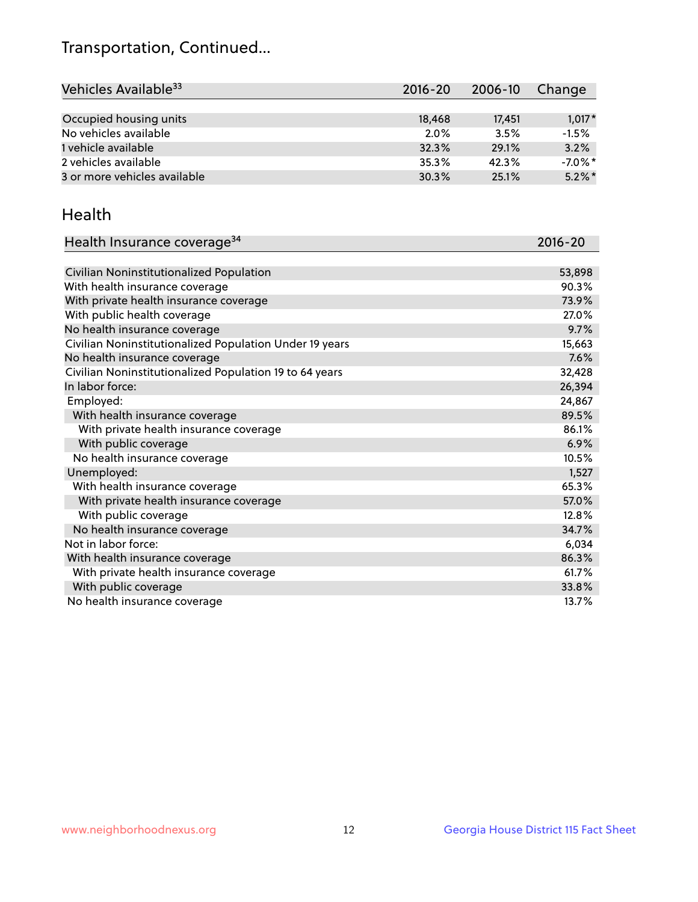## Transportation, Continued...

| Vehicles Available <sup>33</sup> | $2016 - 20$ | $2006 - 10$ | Change     |
|----------------------------------|-------------|-------------|------------|
|                                  |             |             |            |
| Occupied housing units           | 18,468      | 17,451      | $1,017*$   |
| No vehicles available            | $2.0\%$     | 3.5%        | $-1.5%$    |
| 1 vehicle available              | 32.3%       | 29.1%       | 3.2%       |
| 2 vehicles available             | 35.3%       | 42.3%       | $-7.0\%$ * |
| 3 or more vehicles available     | 30.3%       | 25.1%       | $5.2\%$ *  |

#### Health

| Health Insurance coverage <sup>34</sup>                 | 2016-20 |
|---------------------------------------------------------|---------|
|                                                         |         |
| Civilian Noninstitutionalized Population                | 53,898  |
| With health insurance coverage                          | 90.3%   |
| With private health insurance coverage                  | 73.9%   |
| With public health coverage                             | 27.0%   |
| No health insurance coverage                            | 9.7%    |
| Civilian Noninstitutionalized Population Under 19 years | 15,663  |
| No health insurance coverage                            | 7.6%    |
| Civilian Noninstitutionalized Population 19 to 64 years | 32,428  |
| In labor force:                                         | 26,394  |
| Employed:                                               | 24,867  |
| With health insurance coverage                          | 89.5%   |
| With private health insurance coverage                  | 86.1%   |
| With public coverage                                    | 6.9%    |
| No health insurance coverage                            | 10.5%   |
| Unemployed:                                             | 1,527   |
| With health insurance coverage                          | 65.3%   |
| With private health insurance coverage                  | 57.0%   |
| With public coverage                                    | 12.8%   |
| No health insurance coverage                            | 34.7%   |
| Not in labor force:                                     | 6,034   |
| With health insurance coverage                          | 86.3%   |
| With private health insurance coverage                  | 61.7%   |
| With public coverage                                    | 33.8%   |
| No health insurance coverage                            | 13.7%   |